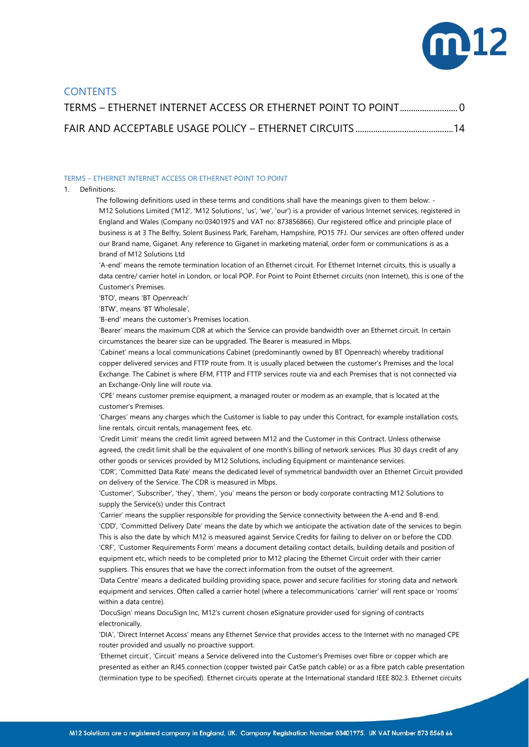

# **CONTENTS**

|  |  |  | TERMS - ETHERNET INTERNET ACCESS OR ETHERNET POINT TO POINT 0 |  |
|--|--|--|---------------------------------------------------------------|--|
|  |  |  |                                                               |  |

#### <span id="page-0-0"></span>TERMS – ETHERNET INTERNET ACCESS OR ETHERNET POINT TO POINT

#### 1. Definitions:

The following definitions used in these terms and conditions shall have the meanings given to them below: -M12 Solutions Limited ('M12', 'M12 Solutions', 'us', 'we', 'our') is a provider of various Internet services, registered in England and Wales (Company no:03401975 and VAT no: 873856866). Our registered office and principle place of business is at 3 The Belfry, Solent Business Park, Fareham, Hampshire, PO15 7FJ. Our services are often offered under our Brand name, Giganet. Any reference to Giganet in marketing material, order form or communications is as a brand of M12 Solutions Ltd

'A-end' means the remote termination location of an Ethernet circuit. For Ethernet Internet circuits, this is usually a data centre/ carrier hotel in London, or local POP. For Point to Point Ethernet circuits (non Internet), this is one of the Customer's Premises.

'BTO', means 'BT Openreach'

'BTW', means 'BT Wholesale',

'B-end' means the customer's Premises location.

'Bearer' means the maximum CDR at which the Service can provide bandwidth over an Ethernet circuit. In certain circumstances the bearer size can be upgraded. The Bearer is measured in Mbps.

'Cabinet' means a local communications Cabinet (predominantly owned by BT Openreach) whereby traditional copper delivered services and FTTP route from. It is usually placed between the customer's Premises and the local Exchange. The Cabinet is where EFM, FTTP and FTTP services route via and each Premises that is not connected via an Exchange-Only line will route via.

'CPE' means customer premise equipment, a managed router or modem as an example, that is located at the customer's Premises.

'Charges' means any charges which the Customer is liable to pay under this Contract, for example installation costs, line rentals, circuit rentals, management fees, etc.

'Credit Limit' means the credit limit agreed between M12 and the Customer in this Contract. Unless otherwise agreed, the credit limit shall be the equivalent of one month's billing of network services. Plus 30 days credit of any other goods or services provided by M12 Solutions, including Equipment or maintenance services.

'CDR', 'Committed Data Rate' means the dedicated level of symmetrical bandwidth over an Ethernet Circuit provided on delivery of the Service. The CDR is measured in Mbps.

'Customer', 'Subscriber', 'they', 'them', 'you' means the person or body corporate contracting M12 Solutions to supply the Service(s) under this Contract

'Carrier' means the supplier responsible for providing the Service connectivity between the A-end and B-end. 'CDD', 'Committed Delivery Date' means the date by which we anticipate the activation date of the services to begin. This is also the date by which M12 is measured against Service Credits for failing to deliver on or before the CDD. 'CRF', 'Customer Requirements Form' means a document detailing contact details, building details and position of equipment etc, which needs to be completed prior to M12 placing the Ethernet Circuit order with their carrier suppliers. This ensures that we have the correct information from the outset of the agreement.

'Data Centre' means a dedicated building providing space, power and secure facilities for storing data and network equipment and services. Often called a carrier hotel (where a telecommunications 'carrier' will rent space or 'rooms' within a data centre).

'DocuSign' means DocuSign Inc, M12's current chosen eSignature provider used for signing of contracts electronically.

'DIA', 'Direct Internet Access' means any Ethernet Service that provides access to the Internet with no managed CPE router provided and usually no proactive support.

'Ethernet circuit', 'Circuit' means a Service delivered into the Customer's Premises over fibre or copper which are presented as either an RJ45 connection (copper twisted pair Cat5e patch cable) or as a fibre patch cable presentation (termination type to be specified). Ethernet circuits operate at the International standard IEEE 802.3. Ethernet circuits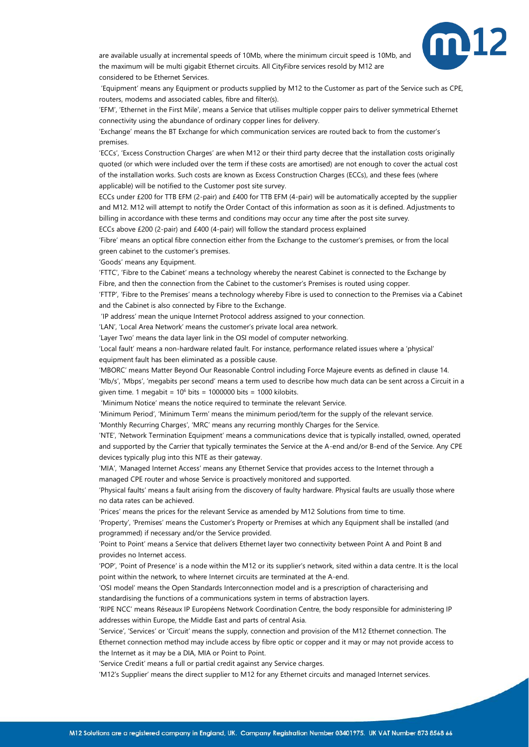

are available usually at incremental speeds of 10Mb, where the minimum circuit speed is 10Mb, and the maximum will be multi gigabit Ethernet circuits. All CityFibre services resold by M12 are considered to be Ethernet Services.

'Equipment' means any Equipment or products supplied by M12 to the Customer as part of the Service such as CPE, routers, modems and associated cables, fibre and filter(s).

'EFM', 'Ethernet in the First Mile', means a Service that utilises multiple copper pairs to deliver symmetrical Ethernet connectivity using the abundance of ordinary copper lines for delivery.

'Exchange' means the BT Exchange for which communication services are routed back to from the customer's premises.

'ECCs', 'Excess Construction Charges' are when M12 or their third party decree that the installation costs originally quoted (or which were included over the term if these costs are amortised) are not enough to cover the actual cost of the installation works. Such costs are known as Excess Construction Charges (ECCs), and these fees (where applicable) will be notified to the Customer post site survey.

ECCs under £200 for TTB EFM (2-pair) and £400 for TTB EFM (4-pair) will be automatically accepted by the supplier and M12. M12 will attempt to notify the Order Contact of this information as soon as it is defined. Adjustments to billing in accordance with these terms and conditions may occur any time after the post site survey. ECCs above £200 (2-pair) and £400 (4-pair) will follow the standard process explained

'Fibre' means an optical fibre connection either from the Exchange to the customer's premises, or from the local

green cabinet to the customer's premises.

'Goods' means any Equipment.

'FTTC', 'Fibre to the Cabinet' means a technology whereby the nearest Cabinet is connected to the Exchange by Fibre, and then the connection from the Cabinet to the customer's Premises is routed using copper.

'FTTP', 'Fibre to the Premises' means a technology whereby Fibre is used to connection to the Premises via a Cabinet and the Cabinet is also connected by Fibre to the Exchange.

'IP address' mean the unique Internet Protocol address assigned to your connection.

'LAN', 'Local Area Network' means the customer's private local area network.

'Layer Two' means the data layer link in the OSI model of computer networking.

'Local fault' means a non-hardware related fault. For instance, performance related issues where a 'physical' equipment fault has been eliminated as a possible cause.

'MBORC' means Matter Beyond Our Reasonable Control including Force Majeure events as defined in claus[e 14.](#page-11-0) 'Mb/s', 'Mbps', 'megabits per second' means a term used to describe how much data can be sent across a Circuit in a given time. 1 megabit =  $10^6$  bits =  $1000000$  bits =  $1000$  kilobits.

'Minimum Notice' means the notice required to terminate the relevant Service.

'Minimum Period', 'Minimum Term' means the minimum period/term for the supply of the relevant service.

'Monthly Recurring Charges', 'MRC' means any recurring monthly Charges for the Service.

'NTE', 'Network Termination Equipment' means a communications device that is typically installed, owned, operated and supported by the Carrier that typically terminates the Service at the A-end and/or B-end of the Service. Any CPE devices typically plug into this NTE as their gateway.

'MIA', 'Managed Internet Access' means any Ethernet Service that provides access to the Internet through a managed CPE router and whose Service is proactively monitored and supported.

'Physical faults' means a fault arising from the discovery of faulty hardware. Physical faults are usually those where no data rates can be achieved.

'Prices' means the prices for the relevant Service as amended by M12 Solutions from time to time.

'Property', 'Premises' means the Customer's Property or Premises at which any Equipment shall be installed (and programmed) if necessary and/or the Service provided.

'Point to Point' means a Service that delivers Ethernet layer two connectivity between Point A and Point B and provides no Internet access.

'POP', 'Point of Presence' is a node within the M12 or its supplier's network, sited within a data centre. It is the local point within the network, to where Internet circuits are terminated at the A-end.

'OSI model' means the Open Standards Interconnection model and is a prescription of characterising and standardising the functions of a communications system in terms of abstraction layers.

'RIPE NCC' means Réseaux IP Européens Network Coordination Centre, the body responsible for administering IP addresses within Europe, the Middle East and parts of central Asia.

'Service', 'Services' or 'Circuit' means the supply, connection and provision of the M12 Ethernet connection. The Ethernet connection method may include access by fibre optic or copper and it may or may not provide access to the Internet as it may be a DIA, MIA or Point to Point.

'Service Credit' means a full or partial credit against any Service charges.

'M12's Supplier' means the direct supplier to M12 for any Ethernet circuits and managed Internet services.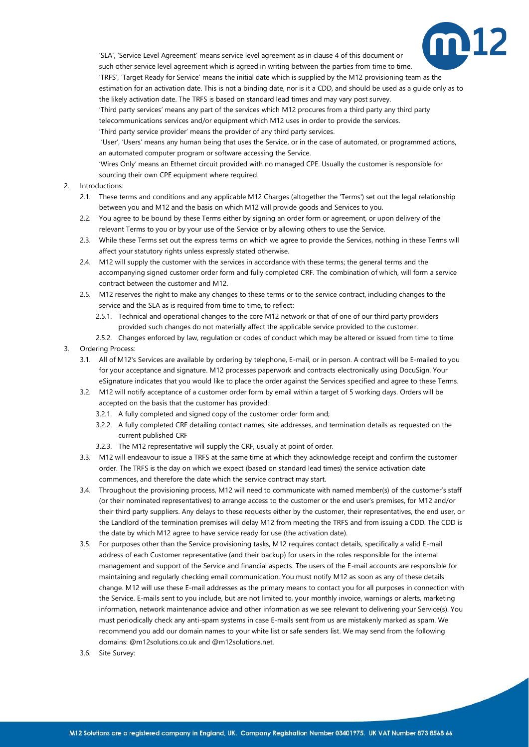

'SLA', 'Service Level Agreement' means service level agreement as in clause [4](#page-4-0) of this document or such other service level agreement which is agreed in writing between the parties from time to time. 'TRFS', 'Target Ready for Service' means the initial date which is supplied by the M12 provisioning team as the estimation for an activation date. This is not a binding date, nor is it a CDD, and should be used as a guide only as to the likely activation date. The TRFS is based on standard lead times and may vary post survey. 'Third party services' means any part of the services which M12 procures from a third party any third party telecommunications services and/or equipment which M12 uses in order to provide the services. 'Third party service provider' means the provider of any third party services.

'User', 'Users' means any human being that uses the Service, or in the case of automated, or programmed actions, an automated computer program or software accessing the Service.

'Wires Only' means an Ethernet circuit provided with no managed CPE. Usually the customer is responsible for sourcing their own CPE equipment where required.

#### 2. Introductions:

- 2.1. These terms and conditions and any applicable M12 Charges (altogether the 'Terms') set out the legal relationship between you and M12 and the basis on which M12 will provide goods and Services to you.
- 2.2. You agree to be bound by these Terms either by signing an order form or agreement, or upon delivery of the relevant Terms to you or by your use of the Service or by allowing others to use the Service.
- 2.3. While these Terms set out the express terms on which we agree to provide the Services, nothing in these Terms will affect your statutory rights unless expressly stated otherwise.
- 2.4. M12 will supply the customer with the services in accordance with these terms; the general terms and the accompanying signed customer order form and fully completed CRF. The combination of which, will form a service contract between the customer and M12.
- 2.5. M12 reserves the right to make any changes to these terms or to the service contract, including changes to the service and the SLA as is required from time to time, to reflect:
	- 2.5.1. Technical and operational changes to the core M12 network or that of one of our third party providers provided such changes do not materially affect the applicable service provided to the customer.
- 2.5.2. Changes enforced by law, regulation or codes of conduct which may be altered or issued from time to time.
- <span id="page-2-0"></span>3. Ordering Process:
	- 3.1. All of M12's Services are available by ordering by telephone, E-mail, or in person. A contract will be E-mailed to you for your acceptance and signature. M12 processes paperwork and contracts electronically using DocuSign. Your eSignature indicates that you would like to place the order against the Services specified and agree to these Terms.
	- 3.2. M12 will notify acceptance of a customer order form by email within a target of 5 working days. Orders will be accepted on the basis that the customer has provided:
		- 3.2.1. A fully completed and signed copy of the customer order form and;
		- 3.2.2. A fully completed CRF detailing contact names, site addresses, and termination details as requested on the current published CRF
		- 3.2.3. The M12 representative will supply the CRF, usually at point of order.
	- 3.3. M12 will endeavour to issue a TRFS at the same time at which they acknowledge receipt and confirm the customer order. The TRFS is the day on which we expect (based on standard lead times) the service activation date commences, and therefore the date which the service contract may start.
	- 3.4. Throughout the provisioning process, M12 will need to communicate with named member(s) of the customer's staff (or their nominated representatives) to arrange access to the customer or the end user's premises, for M12 and/or their third party suppliers. Any delays to these requests either by the customer, their representatives, the end user, or the Landlord of the termination premises will delay M12 from meeting the TRFS and from issuing a CDD. The CDD is the date by which M12 agree to have service ready for use (the activation date).
	- 3.5. For purposes other than the Service provisioning tasks, M12 requires contact details, specifically a valid E-mail address of each Customer representative (and their backup) for users in the roles responsible for the internal management and support of the Service and financial aspects. The users of the E-mail accounts are responsible for maintaining and regularly checking email communication. You must notify M12 as soon as any of these details change. M12 will use these E-mail addresses as the primary means to contact you for all purposes in connection with the Service. E-mails sent to you include, but are not limited to, your monthly invoice, warnings or alerts, marketing information, network maintenance advice and other information as we see relevant to delivering your Service(s). You must periodically check any anti-spam systems in case E-mails sent from us are mistakenly marked as spam. We recommend you add our domain names to your white list or safe senders list. We may send from the following domains: @m12solutions.co.uk and @m12solutions.net.
	- 3.6. Site Survey: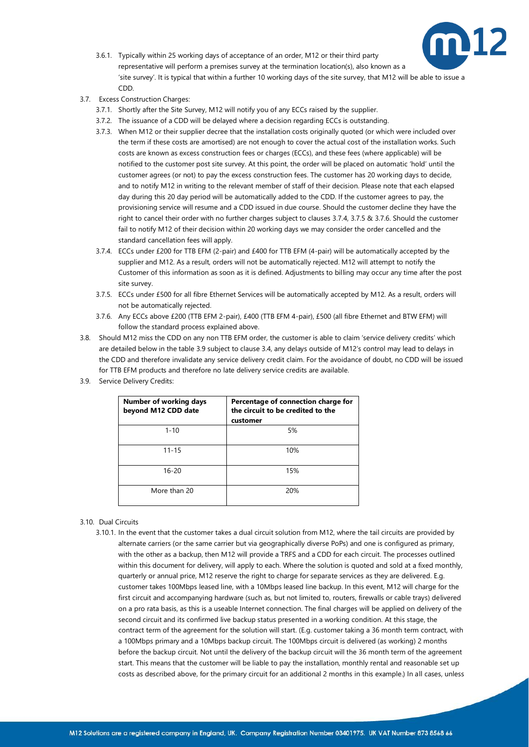

- 3.6.1. Typically within 25 working days of acceptance of an order, M12 or their third party representative will perform a premises survey at the termination location(s), also known as a 'site survey'. It is typical that within a further 10 working days of the site survey, that M12 will be able to issue a CDD.
- 3.7. Excess Construction Charges:
	- 3.7.1. Shortly after the Site Survey, M12 will notify you of any ECCs raised by the supplier.
	- 3.7.2. The issuance of a CDD will be delayed where a decision regarding ECCs is outstanding.
	- 3.7.3. When M12 or their supplier decree that the installation costs originally quoted (or which were included over the term if these costs are amortised) are not enough to cover the actual cost of the installation works. Such costs are known as excess construction fees or charges (ECCs), and these fees (where applicable) will be notified to the customer post site survey. At this point, the order will be placed on automatic 'hold' until the customer agrees (or not) to pay the excess construction fees. The customer has 20 working days to decide, and to notify M12 in writing to the relevant member of staff of their decision. Please note that each elapsed day during this 20 day period will be automatically added to the CDD. If the customer agrees to pay, the provisioning service will resume and a CDD issued in due course. Should the customer decline they have the right to cancel their order with no further charges subject to clauses [3.7.4,](#page-3-0) [3.7.5](#page-3-1) & [3.7.6.](#page-3-2) Should the customer fail to notify M12 of their decision within 20 working days we may consider the order cancelled and the standard cancellation fees will apply.
	- 3.7.4. ECCs under £200 for TTB EFM (2-pair) and £400 for TTB EFM (4-pair) will be automatically accepted by the supplier and M12. As a result, orders will not be automatically rejected. M12 will attempt to notify the Customer of this information as soon as it is defined. Adjustments to billing may occur any time after the post site survey.
	- 3.7.5. ECCs under £500 for all fibre Ethernet Services will be automatically accepted by M12. As a result, orders will not be automatically rejected.
	- 3.7.6. Any ECCs above £200 (TTB EFM 2-pair), £400 (TTB EFM 4-pair), £500 (all fibre Ethernet and BTW EFM) will follow the standard process explained above.
- <span id="page-3-2"></span><span id="page-3-1"></span><span id="page-3-0"></span>3.8. Should M12 miss the CDD on any non TTB EFM order, the customer is able to claim 'service delivery credits' which are detailed below in the table [3.9](#page-3-3) subject to claus[e 3.4](#page-2-0), any delays outside of M12's control may lead to delays in the CDD and therefore invalidate any service delivery credit claim. For the avoidance of doubt, no CDD will be issued for TTB EFM products and therefore no late delivery service credits are available.
- <span id="page-3-3"></span>3.9. Service Delivery Credits:

| Number of working days<br>beyond M12 CDD date | Percentage of connection charge for<br>the circuit to be credited to the<br>customer |
|-----------------------------------------------|--------------------------------------------------------------------------------------|
| $1 - 10$                                      | 5%                                                                                   |
| $11 - 15$                                     | 10%                                                                                  |
| $16 - 20$                                     | 15%                                                                                  |
| More than 20                                  | 20%                                                                                  |

- <span id="page-3-4"></span>3.10. Dual Circuits
	- 3.10.1. In the event that the customer takes a dual circuit solution from M12, where the tail circuits are provided by alternate carriers (or the same carrier but via geographically diverse PoPs) and one is configured as primary, with the other as a backup, then M12 will provide a TRFS and a CDD for each circuit. The processes outlined within this document for delivery, will apply to each. Where the solution is quoted and sold at a fixed monthly, quarterly or annual price, M12 reserve the right to charge for separate services as they are delivered. E.g. customer takes 100Mbps leased line, with a 10Mbps leased line backup. In this event, M12 will charge for the first circuit and accompanying hardware (such as, but not limited to, routers, firewalls or cable trays) delivered on a pro rata basis, as this is a useable Internet connection. The final charges will be applied on delivery of the second circuit and its confirmed live backup status presented in a working condition. At this stage, the contract term of the agreement for the solution will start. (E.g. customer taking a 36 month term contract, with a 100Mbps primary and a 10Mbps backup circuit. The 100Mbps circuit is delivered (as working) 2 months before the backup circuit. Not until the delivery of the backup circuit will the 36 month term of the agreement start. This means that the customer will be liable to pay the installation, monthly rental and reasonable set up costs as described above, for the primary circuit for an additional 2 months in this example.) In all cases, unless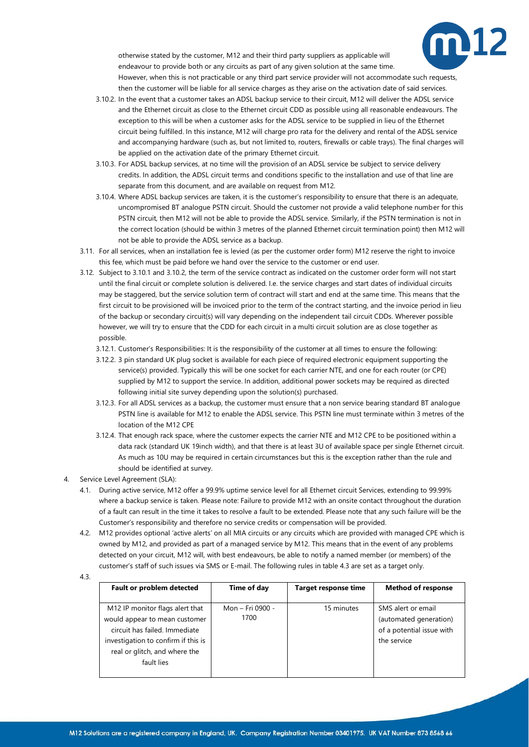

otherwise stated by the customer, M12 and their third party suppliers as applicable will endeavour to provide both or any circuits as part of any given solution at the same time. However, when this is not practicable or any third part service provider will not accommodate such requests,

- <span id="page-4-1"></span>then the customer will be liable for all service charges as they arise on the activation date of said services. 3.10.2. In the event that a customer takes an ADSL backup service to their circuit, M12 will deliver the ADSL service and the Ethernet circuit as close to the Ethernet circuit CDD as possible using all reasonable endeavours. The exception to this will be when a customer asks for the ADSL service to be supplied in lieu of the Ethernet circuit being fulfilled. In this instance, M12 will charge pro rata for the delivery and rental of the ADSL service and accompanying hardware (such as, but not limited to, routers, firewalls or cable trays). The final charges will be applied on the activation date of the primary Ethernet circuit.
- 3.10.3. For ADSL backup services, at no time will the provision of an ADSL service be subject to service delivery credits. In addition, the ADSL circuit terms and conditions specific to the installation and use of that line are separate from this document, and are available on request from M12.
- 3.10.4. Where ADSL backup services are taken, it is the customer's responsibility to ensure that there is an adequate, uncompromised BT analogue PSTN circuit. Should the customer not provide a valid telephone number for this PSTN circuit, then M12 will not be able to provide the ADSL service. Similarly, if the PSTN termination is not in the correct location (should be within 3 metres of the planned Ethernet circuit termination point) then M12 will not be able to provide the ADSL service as a backup.
- 3.11. For all services, when an installation fee is levied (as per the customer order form) M12 reserve the right to invoice this fee, which must be paid before we hand over the service to the customer or end user.
- 3.12. Subject t[o 3.10.1](#page-3-4) and [3.10.2,](#page-4-1) the term of the service contract as indicated on the customer order form will not start until the final circuit or complete solution is delivered. I.e. the service charges and start dates of individual circuits may be staggered, but the service solution term of contract will start and end at the same time. This means that the first circuit to be provisioned will be invoiced prior to the term of the contract starting, and the invoice period in lieu of the backup or secondary circuit(s) will vary depending on the independent tail circuit CDDs. Wherever possible however, we will try to ensure that the CDD for each circuit in a multi circuit solution are as close together as possible.
	- 3.12.1. Customer's Responsibilities: It is the responsibility of the customer at all times to ensure the following:
	- 3.12.2. 3 pin standard UK plug socket is available for each piece of required electronic equipment supporting the service(s) provided. Typically this will be one socket for each carrier NTE, and one for each router (or CPE) supplied by M12 to support the service. In addition, additional power sockets may be required as directed following initial site survey depending upon the solution(s) purchased.
	- 3.12.3. For all ADSL services as a backup, the customer must ensure that a non service bearing standard BT analogue PSTN line is available for M12 to enable the ADSL service. This PSTN line must terminate within 3 metres of the location of the M12 CPE
	- 3.12.4. That enough rack space, where the customer expects the carrier NTE and M12 CPE to be positioned within a data rack (standard UK 19inch width), and that there is at least 3U of available space per single Ethernet circuit. As much as 10U may be required in certain circumstances but this is the exception rather than the rule and should be identified at survey.
- <span id="page-4-3"></span><span id="page-4-0"></span>4. Service Level Agreement (SLA):
	- 4.1. During active service, M12 offer a 99.9% uptime service level for all Ethernet circuit Services, extending to 99.99% where a backup service is taken. Please note: Failure to provide M12 with an onsite contact throughout the duration of a fault can result in the time it takes to resolve a fault to be extended. Please note that any such failure will be the Customer's responsibility and therefore no service credits or compensation will be provided.
	- 4.2. M12 provides optional 'active alerts' on all MIA circuits or any circuits which are provided with managed CPE which is owned by M12, and provided as part of a managed service by M12. This means that in the event of any problems detected on your circuit, M12 will, with best endeavours, be able to notify a named member (or members) of the customer's staff of such issues via SMS or E-mail. The following rules in table [4.3](#page-4-2) are set as a target only.
	- 4.3.

<span id="page-4-2"></span>

| <b>Fault or problem detected</b>                                                                                                                                          | Time of day              | <b>Target response time</b> | <b>Method of response</b>                                                                |
|---------------------------------------------------------------------------------------------------------------------------------------------------------------------------|--------------------------|-----------------------------|------------------------------------------------------------------------------------------|
| M12 IP monitor flags alert that<br>would appear to mean customer<br>circuit has failed. Immediate<br>investigation to confirm if this is<br>real or glitch, and where the | Mon - Fri 0900 -<br>1700 | 15 minutes                  | SMS alert or email<br>(automated generation)<br>of a potential issue with<br>the service |
| fault lies                                                                                                                                                                |                          |                             |                                                                                          |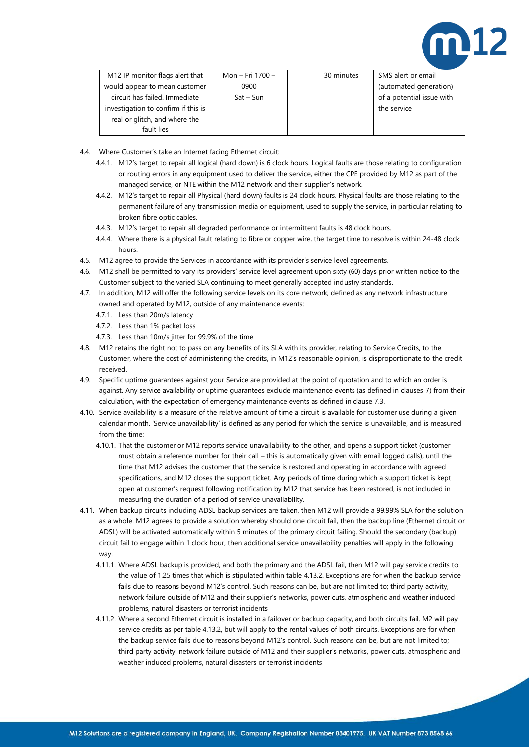

| M12 IP monitor flags alert that     | Mon - Fri 1700 - | 30 minutes | SMS alert or email        |
|-------------------------------------|------------------|------------|---------------------------|
| would appear to mean customer       | 0900             |            | (automated generation)    |
| circuit has failed. Immediate       | $Sat - Sun$      |            | of a potential issue with |
| investigation to confirm if this is |                  |            | the service               |
| real or glitch, and where the       |                  |            |                           |
| fault lies                          |                  |            |                           |

- <span id="page-5-2"></span>4.4. Where Customer's take an Internet facing Ethernet circuit:
	- 4.4.1. M12's target to repair all logical (hard down) is 6 clock hours. Logical faults are those relating to configuration or routing errors in any equipment used to deliver the service, either the CPE provided by M12 as part of the managed service, or NTE within the M12 network and their supplier's network.
	- 4.4.2. M12's target to repair all Physical (hard down) faults is 24 clock hours. Physical faults are those relating to the permanent failure of any transmission media or equipment, used to supply the service, in particular relating to broken fibre optic cables.
	- 4.4.3. M12's target to repair all degraded performance or intermittent faults is 48 clock hours.
	- 4.4.4. Where there is a physical fault relating to fibre or copper wire, the target time to resolve is within 24-48 clock hours.
- 4.5. M12 agree to provide the Services in accordance with its provider's service level agreements.
- 4.6. M12 shall be permitted to vary its providers' service level agreement upon sixty (60) days prior written notice to the Customer subject to the varied SLA continuing to meet generally accepted industry standards.
- 4.7. In addition, M12 will offer the following service levels on its core network; defined as any network infrastructure owned and operated by M12, outside of any maintenance events:
	- 4.7.1. Less than 20m/s latency
	- 4.7.2. Less than 1% packet loss
	- 4.7.3. Less than 10m/s jitter for 99.9% of the time
- 4.8. M12 retains the right not to pass on any benefits of its SLA with its provider, relating to Service Credits, to the Customer, where the cost of administering the credits, in M12's reasonable opinion, is disproportionate to the credit received.
- <span id="page-5-1"></span>4.9. Specific uptime guarantees against your Service are provided at the point of quotation and to which an order is against. Any service availability or uptime guarantees exclude maintenance events (as defined in clauses [7\)](#page-9-0) from their calculation, with the expectation of emergency maintenance events as defined in clause 7.3.
- 4.10. Service availability is a measure of the relative amount of time a circuit is available for customer use during a given calendar month. 'Service unavailability' is defined as any period for which the service is unavailable, and is measured from the time:
	- 4.10.1. That the customer or M12 reports service unavailability to the other, and opens a support ticket (customer must obtain a reference number for their call – this is automatically given with email logged calls), until the time that M12 advises the customer that the service is restored and operating in accordance with agreed specifications, and M12 closes the support ticket. Any periods of time during which a support ticket is kept open at customer's request following notification by M12 that service has been restored, is not included in measuring the duration of a period of service unavailability.
- <span id="page-5-0"></span>4.11. When backup circuits including ADSL backup services are taken, then M12 will provide a 99.99% SLA for the solution as a whole. M12 agrees to provide a solution whereby should one circuit fail, then the backup line (Ethernet circuit or ADSL) will be activated automatically within 5 minutes of the primary circuit failing. Should the secondary (backup) circuit fail to engage within 1 clock hour, then additional service unavailability penalties will apply in the following way:
	- 4.11.1. Where ADSL backup is provided, and both the primary and the ADSL fail, then M12 will pay service credits to the value of 1.25 times that which is stipulated within table [4.13.2.](#page-6-0) Exceptions are for when the backup service fails due to reasons beyond M12's control. Such reasons can be, but are not limited to; third party activity, network failure outside of M12 and their supplier's networks, power cuts, atmospheric and weather induced problems, natural disasters or terrorist incidents
	- 4.11.2. Where a second Ethernet circuit is installed in a failover or backup capacity, and both circuits fail, M2 will pay service credits as per tabl[e 4.13.2,](#page-6-0) but will apply to the rental values of both circuits. Exceptions are for when the backup service fails due to reasons beyond M12's control. Such reasons can be, but are not limited to; third party activity, network failure outside of M12 and their supplier's networks, power cuts, atmospheric and weather induced problems, natural disasters or terrorist incidents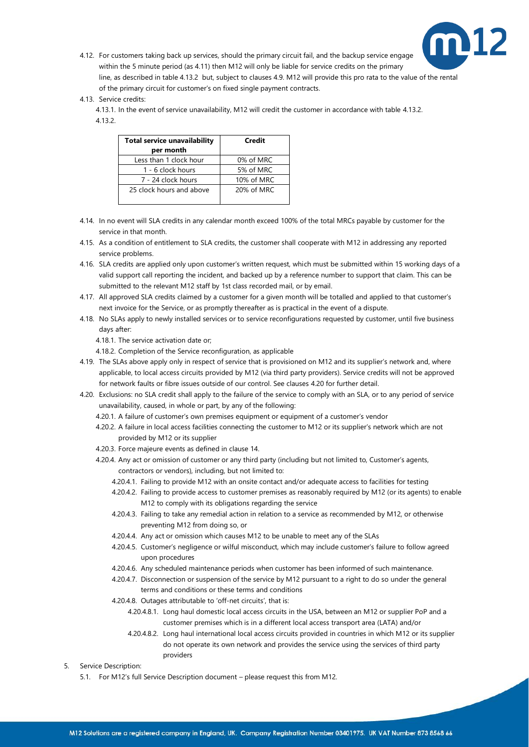

- 4.12. For customers taking back up services, should the primary circuit fail, and the backup service engage within the 5 minute period (a[s 4.11\)](#page-5-0) then M12 will only be liable for service credits on the primary line, as described in tabl[e 4.13.2](#page-6-0) but, subject to clauses [4.9.](#page-5-1) M12 will provide this pro rata to the value of the rental of the primary circuit for customer's on fixed single payment contracts.
- <span id="page-6-2"></span><span id="page-6-0"></span>4.13. Service credits:
	- 4.13.1. In the event of service unavailability, M12 will credit the customer in accordance with tabl[e 4.13.2.](#page-6-0) 4.13.2.

| <b>Total service unavailability</b><br>per month | Credit     |  |
|--------------------------------------------------|------------|--|
| Less than 1 clock hour                           | 0% of MRC  |  |
|                                                  |            |  |
| 1 - 6 clock hours                                | 5% of MRC  |  |
| 7 - 24 clock hours                               | 10% of MRC |  |
| 25 clock hours and above                         | 20% of MRC |  |

- 4.14. In no event will SLA credits in any calendar month exceed 100% of the total MRCs payable by customer for the service in that month.
- 4.15. As a condition of entitlement to SLA credits, the customer shall cooperate with M12 in addressing any reported service problems.
- 4.16. SLA credits are applied only upon customer's written request, which must be submitted within 15 working days of a valid support call reporting the incident, and backed up by a reference number to support that claim. This can be submitted to the relevant M12 staff by 1st class recorded mail, or by email.
- 4.17. All approved SLA credits claimed by a customer for a given month will be totalled and applied to that customer's next invoice for the Service, or as promptly thereafter as is practical in the event of a dispute.
- 4.18. No SLAs apply to newly installed services or to service reconfigurations requested by customer, until five business days after:

4.18.1. The service activation date or;

- 4.18.2. Completion of the Service reconfiguration, as applicable
- 4.19. The SLAs above apply only in respect of service that is provisioned on M12 and its supplier's network and, where applicable, to local access circuits provided by M12 (via third party providers). Service credits will not be approved for network faults or fibre issues outside of our control. See clauses [4.20](#page-6-1) for further detail.
- <span id="page-6-1"></span>4.20. Exclusions: no SLA credit shall apply to the failure of the service to comply with an SLA, or to any period of service unavailability, caused, in whole or part, by any of the following:
	- 4.20.1. A failure of customer's own premises equipment or equipment of a customer's vendor
	- 4.20.2. A failure in local access facilities connecting the customer to M12 or its supplier's network which are not provided by M12 or its supplier
	- 4.20.3. Force majeure events as defined in claus[e 14.](#page-11-0)
	- 4.20.4. Any act or omission of customer or any third party (including but not limited to, Customer's agents, contractors or vendors), including, but not limited to:
		- 4.20.4.1. Failing to provide M12 with an onsite contact and/or adequate access to facilities for testing
		- 4.20.4.2. Failing to provide access to customer premises as reasonably required by M12 (or its agents) to enable M12 to comply with its obligations regarding the service
		- 4.20.4.3. Failing to take any remedial action in relation to a service as recommended by M12, or otherwise preventing M12 from doing so, or
		- 4.20.4.4. Any act or omission which causes M12 to be unable to meet any of the SLAs
		- 4.20.4.5. Customer's negligence or wilful misconduct, which may include customer's failure to follow agreed upon procedures
		- 4.20.4.6. Any scheduled maintenance periods when customer has been informed of such maintenance.
		- 4.20.4.7. Disconnection or suspension of the service by M12 pursuant to a right to do so under the general terms and conditions or these terms and conditions
		- 4.20.4.8. Outages attributable to 'off-net circuits', that is:
			- 4.20.4.8.1. Long haul domestic local access circuits in the USA, between an M12 or supplier PoP and a customer premises which is in a different local access transport area (LATA) and/or
			- 4.20.4.8.2. Long haul international local access circuits provided in countries in which M12 or its supplier do not operate its own network and provides the service using the services of third party providers

5. Service Description:

5.1. For M12's full Service Description document – please request this from M12.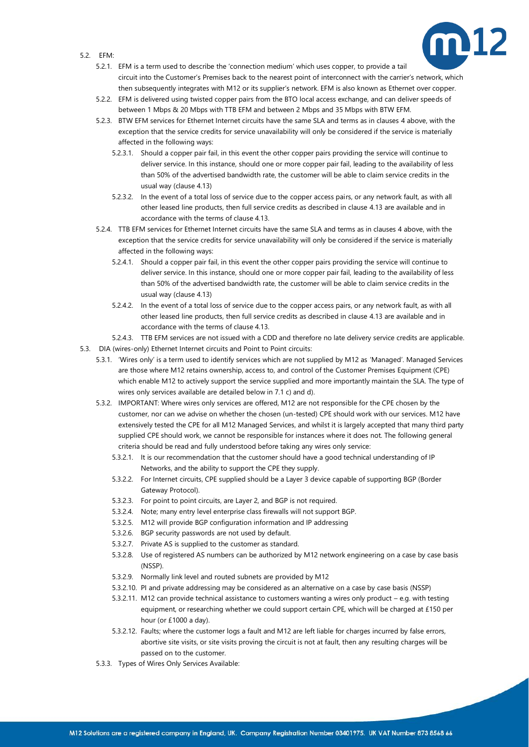

- 5.2. EFM:
	- 5.2.1. EFM is a term used to describe the 'connection medium' which uses copper, to provide a tail circuit into the Customer's Premises back to the nearest point of interconnect with the carrier's network, which then subsequently integrates with M12 or its supplier's network. EFM is also known as Ethernet over copper.
	- 5.2.2. EFM is delivered using twisted copper pairs from the BTO local access exchange, and can deliver speeds of between 1 Mbps & 20 Mbps with TTB EFM and between 2 Mbps and 35 Mbps with BTW EFM.
	- 5.2.3. BTW EFM services for Ethernet Internet circuits have the same SLA and terms as in clause[s 4](#page-4-0) above, with the exception that the service credits for service unavailability will only be considered if the service is materially affected in the following ways:
		- 5.2.3.1. Should a copper pair fail, in this event the other copper pairs providing the service will continue to deliver service. In this instance, should one or more copper pair fail, leading to the availability of less than 50% of the advertised bandwidth rate, the customer will be able to claim service credits in the usual way (claus[e 4.13\)](#page-6-2)
		- 5.2.3.2. In the event of a total loss of service due to the copper access pairs, or any network fault, as with all other leased line products, then full service credits as described in clause [4.13](#page-6-2) are available and in accordance with the terms of claus[e 4.13.](#page-6-2)
	- 5.2.4. TTB EFM services for Ethernet Internet circuits have the same SLA and terms as in clauses [4](#page-4-0) above, with the exception that the service credits for service unavailability will only be considered if the service is materially affected in the following ways:
		- 5.2.4.1. Should a copper pair fail, in this event the other copper pairs providing the service will continue to deliver service. In this instance, should one or more copper pair fail, leading to the availability of less than 50% of the advertised bandwidth rate, the customer will be able to claim service credits in the usual way (claus[e 4.13\)](#page-6-2)
		- 5.2.4.2. In the event of a total loss of service due to the copper access pairs, or any network fault, as with all other leased line products, then full service credits as described in clause [4.13](#page-6-2) are available and in accordance with the terms of claus[e 4.13.](#page-6-2)
		- 5.2.4.3. TTB EFM services are not issued with a CDD and therefore no late delivery service credits are applicable.
- 5.3. DIA (wires-only) Ethernet Internet circuits and Point to Point circuits:
	- 5.3.1. 'Wires only' is a term used to identify services which are not supplied by M12 as 'Managed'. Managed Services are those where M12 retains ownership, access to, and control of the Customer Premises Equipment (CPE) which enable M12 to actively support the service supplied and more importantly maintain the SLA. The type of wires only services available are detailed below in 7.1 c) and d).
	- 5.3.2. IMPORTANT: Where wires only services are offered, M12 are not responsible for the CPE chosen by the customer, nor can we advise on whether the chosen (un-tested) CPE should work with our services. M12 have extensively tested the CPE for all M12 Managed Services, and whilst it is largely accepted that many third party supplied CPE should work, we cannot be responsible for instances where it does not. The following general criteria should be read and fully understood before taking any wires only service:
		- 5.3.2.1. It is our recommendation that the customer should have a good technical understanding of IP Networks, and the ability to support the CPE they supply.
		- 5.3.2.2. For Internet circuits, CPE supplied should be a Layer 3 device capable of supporting BGP (Border Gateway Protocol).
		- 5.3.2.3. For point to point circuits, are Layer 2, and BGP is not required.
		- 5.3.2.4. Note; many entry level enterprise class firewalls will not support BGP.
		- 5.3.2.5. M12 will provide BGP configuration information and IP addressing
		- 5.3.2.6. BGP security passwords are not used by default.
		- 5.3.2.7. Private AS is supplied to the customer as standard.
		- 5.3.2.8. Use of registered AS numbers can be authorized by M12 network engineering on a case by case basis (NSSP).
		- 5.3.2.9. Normally link level and routed subnets are provided by M12
		- 5.3.2.10. PI and private addressing may be considered as an alternative on a case by case basis (NSSP)
		- 5.3.2.11. M12 can provide technical assistance to customers wanting a wires only product e.g. with testing equipment, or researching whether we could support certain CPE, which will be charged at £150 per hour (or £1000 a day).
		- 5.3.2.12. Faults; where the customer logs a fault and M12 are left liable for charges incurred by false errors, abortive site visits, or site visits proving the circuit is not at fault, then any resulting charges will be passed on to the customer.
	- 5.3.3. Types of Wires Only Services Available: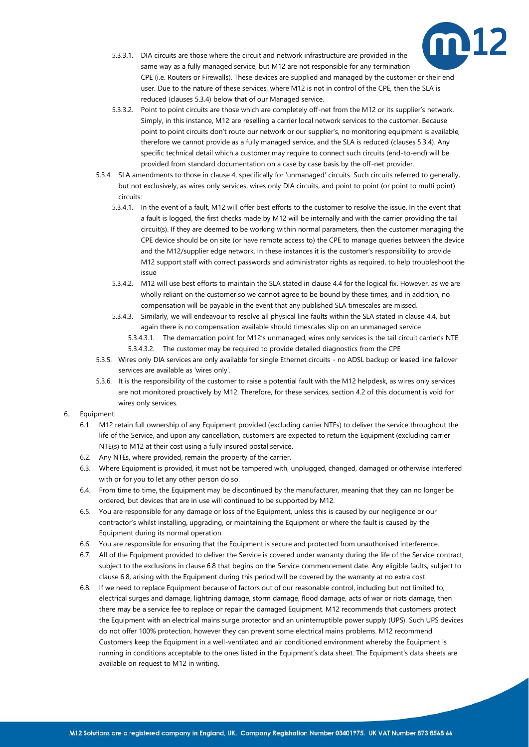

- 5.3.3.1. DIA circuits are those where the circuit and network infrastructure are provided in the same way as a fully managed service, but M12 are not responsible for any termination CPE (i.e. Routers or Firewalls). These devices are supplied and managed by the customer or their end user. Due to the nature of these services, where M12 is not in control of the CPE, then the SLA is reduced (clause[s 5.3.4\)](#page-8-0) below that of our Managed service.
- 5.3.3.2. Point to point circuits are those which are completely off-net from the M12 or its supplier's network. Simply, in this instance, M12 are reselling a carrier local network services to the customer. Because point to point circuits don't route our network or our supplier's, no monitoring equipment is available, therefore we cannot provide as a fully managed service, and the SLA is reduced (clause[s 5.3.4\)](#page-8-0). Any specific technical detail which a customer may require to connect such circuits (end-to-end) will be provided from standard documentation on a case by case basis by the off-net provider.
- <span id="page-8-0"></span>5.3.4. SLA amendments to those in clause [4](#page-4-0), specifically for 'unmanaged' circuits. Such circuits referred to generally, but not exclusively, as wires only services, wires only DIA circuits, and point to point (or point to multi point) circuits:
	- 5.3.4.1. In the event of a fault, M12 will offer best efforts to the customer to resolve the issue. In the event that a fault is logged, the first checks made by M12 will be internally and with the carrier providing the tail circuit(s). If they are deemed to be working within normal parameters, then the customer managing the CPE device should be on site (or have remote access to) the CPE to manage queries between the device and the M12/supplier edge network. In these instances it is the customer's responsibility to provide M12 support staff with correct passwords and administrator rights as required, to help troubleshoot the issue
	- 5.3.4.2. M12 will use best efforts to maintain the SLA stated in claus[e 4.4](#page-5-2) for the logical fix. However, as we are wholly reliant on the customer so we cannot agree to be bound by these times, and in addition, no compensation will be payable in the event that any published SLA timescales are missed.
	- 5.3.4.3. Similarly, we will endeavour to resolve all physical line faults within the SLA stated in clause [4.4,](#page-5-2) but again there is no compensation available should timescales slip on an unmanaged service
		- 5.3.4.3.1. The demarcation point for M12's unmanaged, wires only services is the tail circuit carrier's NTE 5.3.4.3.2. The customer may be required to provide detailed diagnostics from the CPE
- 5.3.5. Wires only DIA services are only available for single Ethernet circuits no ADSL backup or leased line failover services are available as 'wires only'.
- 5.3.6. It is the responsibility of the customer to raise a potential fault with the M12 helpdesk, as wires only services are not monitored proactively by M12. Therefore, for these services, section [4.2](#page-4-3) of this document is void for wires only services.

### 6. Equipment:

- 6.1. M12 retain full ownership of any Equipment provided (excluding carrier NTEs) to deliver the service throughout the life of the Service, and upon any cancellation, customers are expected to return the Equipment (excluding carrier NTE(s) to M12 at their cost using a fully insured postal service.
- 6.2. Any NTEs, where provided, remain the property of the carrier.
- 6.3. Where Equipment is provided, it must not be tampered with, unplugged, changed, damaged or otherwise interfered with or for you to let any other person do so.
- 6.4. From time to time, the Equipment may be discontinued by the manufacturer, meaning that they can no longer be ordered, but devices that are in use will continued to be supported by M12.
- 6.5. You are responsible for any damage or loss of the Equipment, unless this is caused by our negligence or our contractor's whilst installing, upgrading, or maintaining the Equipment or where the fault is caused by the Equipment during its normal operation.
- 6.6. You are responsible for ensuring that the Equipment is secure and protected from unauthorised interference.
- 6.7. All of the Equipment provided to deliver the Service is covered under warranty during the life of the Service contract, subject to the exclusions in clause [6.8](#page-8-1) that begins on the Service commencement date. Any eligible faults, subject to claus[e 6.8,](#page-8-1) arising with the Equipment during this period will be covered by the warranty at no extra cost.
- <span id="page-8-1"></span>6.8. If we need to replace Equipment because of factors out of our reasonable control, including but not limited to, electrical surges and damage, lightning damage, storm damage, flood damage, acts of war or riots damage, then there may be a service fee to replace or repair the damaged Equipment. M12 recommends that customers protect the Equipment with an electrical mains surge protector and an uninterruptible power supply (UPS). Such UPS devices do not offer 100% protection, however they can prevent some electrical mains problems. M12 recommend Customers keep the Equipment in a well-ventilated and air conditioned environment whereby the Equipment is running in conditions acceptable to the ones listed in the Equipment's data sheet. The Equipment's data sheets are available on request to M12 in writing.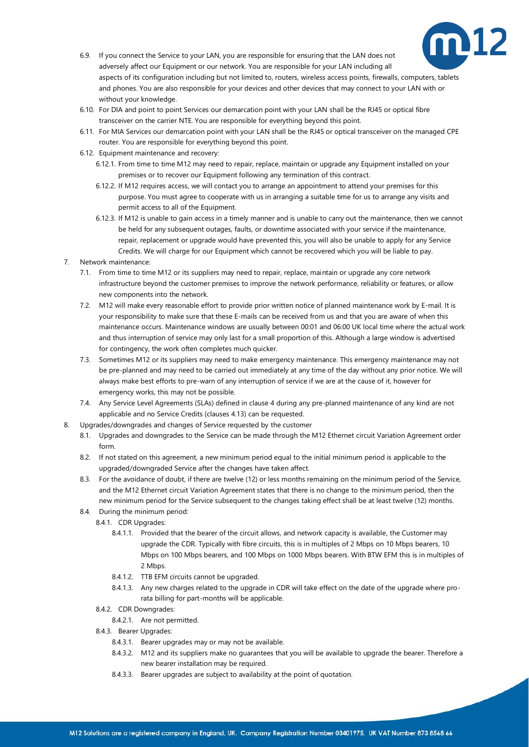

- 6.9. If you connect the Service to your LAN, you are responsible for ensuring that the LAN does not adversely affect our Equipment or our network. You are responsible for your LAN including all aspects of its configuration including but not limited to, routers, wireless access points, firewalls, computers, tablets and phones. You are also responsible for your devices and other devices that may connect to your LAN with or without your knowledge.
- 6.10. For DIA and point to point Services our demarcation point with your LAN shall be the RJ45 or optical fibre transceiver on the carrier NTE. You are responsible for everything beyond this point.
- 6.11. For MIA Services our demarcation point with your LAN shall be the RJ45 or optical transceiver on the managed CPE router. You are responsible for everything beyond this point.
- 6.12. Equipment maintenance and recovery:
	- 6.12.1. From time to time M12 may need to repair, replace, maintain or upgrade any Equipment installed on your premises or to recover our Equipment following any termination of this contract.
	- 6.12.2. If M12 requires access, we will contact you to arrange an appointment to attend your premises for this purpose. You must agree to cooperate with us in arranging a suitable time for us to arrange any visits and permit access to all of the Equipment.
	- 6.12.3. If M12 is unable to gain access in a timely manner and is unable to carry out the maintenance, then we cannot be held for any subsequent outages, faults, or downtime associated with your service if the maintenance, repair, replacement or upgrade would have prevented this, you will also be unable to apply for any Service Credits. We will charge for our Equipment which cannot be recovered which you will be liable to pay.
- <span id="page-9-0"></span>7. Network maintenance:
	- 7.1. From time to time M12 or its suppliers may need to repair, replace, maintain or upgrade any core network infrastructure beyond the customer premises to improve the network performance, reliability or features, or allow new components into the network.
	- 7.2. M12 will make every reasonable effort to provide prior written notice of planned maintenance work by E-mail. It is your responsibility to make sure that these E-mails can be received from us and that you are aware of when this maintenance occurs. Maintenance windows are usually between 00:01 and 06:00 UK local time where the actual work and thus interruption of service may only last for a small proportion of this. Although a large window is advertised for contingency, the work often completes much quicker.
	- 7.3. Sometimes M12 or its suppliers may need to make emergency maintenance. This emergency maintenance may not be pre-planned and may need to be carried out immediately at any time of the day without any prior notice. We will always make best efforts to pre-warn of any interruption of service if we are at the cause of it, however for emergency works, this may not be possible.
	- 7.4. Any Service Level Agreements (SLAs) defined in claus[e 4](#page-4-0) during any pre-planned maintenance of any kind are not applicable and no Service Credits (clause[s 4.13\)](#page-6-2) can be requested.
- <span id="page-9-3"></span><span id="page-9-2"></span><span id="page-9-1"></span>8. Upgrades/downgrades and changes of Service requested by the customer
	- 8.1. Upgrades and downgrades to the Service can be made through the M12 Ethernet circuit Variation Agreement order form.
	- 8.2. If not stated on this agreement, a new minimum period equal to the initial minimum period is applicable to the upgraded/downgraded Service after the changes have taken affect.
	- 8.3. For the avoidance of doubt, if there are twelve (12) or less months remaining on the minimum period of the Service, and the M12 Ethernet circuit Variation Agreement states that there is no change to the minimum period, then the new minimum period for the Service subsequent to the changes taking effect shall be at least twelve (12) months.
	- 8.4. During the minimum period:
		- 8.4.1. CDR Upgrades:
			- 8.4.1.1. Provided that the bearer of the circuit allows, and network capacity is available, the Customer may upgrade the CDR. Typically with fibre circuits, this is in multiples of 2 Mbps on 10 Mbps bearers, 10 Mbps on 100 Mbps bearers, and 100 Mbps on 1000 Mbps bearers. With BTW EFM this is in multiples of 2 Mbps.
			- 8.4.1.2. TTB EFM circuits cannot be upgraded.
			- 8.4.1.3. Any new charges related to the upgrade in CDR will take effect on the date of the upgrade where prorata billing for part-months will be applicable.
		- 8.4.2. CDR Downgrades:
		- 8.4.2.1. Are not permitted.
		- 8.4.3. Bearer Upgrades:
			- 8.4.3.1. Bearer upgrades may or may not be available.
			- 8.4.3.2. M12 and its suppliers make no guarantees that you will be available to upgrade the bearer. Therefore a new bearer installation may be required.
			- 8.4.3.3. Bearer upgrades are subject to availability at the point of quotation.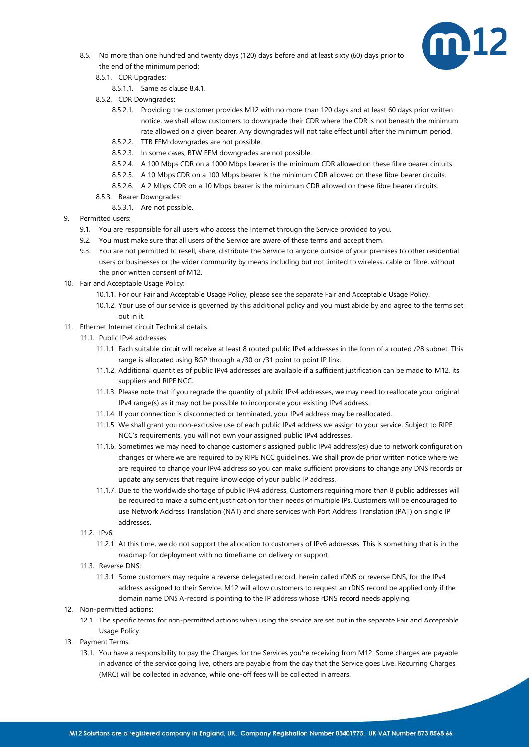

- 8.5. No more than one hundred and twenty days (120) days before and at least sixty (60) days prior to the end of the minimum period:
	- 8.5.1. CDR Upgrades:
		- 8.5.1.1. Same as claus[e 8.4.1.](#page-9-1)
	- 8.5.2. CDR Downgrades:
		- 8.5.2.1. Providing the customer provides M12 with no more than 120 days and at least 60 days prior written notice, we shall allow customers to downgrade their CDR where the CDR is not beneath the minimum rate allowed on a given bearer. Any downgrades will not take effect until after the minimum period.
		- 8.5.2.2. TTB EFM downgrades are not possible.
		- 8.5.2.3. In some cases, BTW EFM downgrades are not possible.
		- 8.5.2.4. A 100 Mbps CDR on a 1000 Mbps bearer is the minimum CDR allowed on these fibre bearer circuits.
		- 8.5.2.5. A 10 Mbps CDR on a 100 Mbps bearer is the minimum CDR allowed on these fibre bearer circuits.
		- 8.5.2.6. A 2 Mbps CDR on a 10 Mbps bearer is the minimum CDR allowed on these fibre bearer circuits.
	- 8.5.3. Bearer Downgrades:
		- 8.5.3.1. Are not possible.
- 9. Permitted users:
	- 9.1. You are responsible for all users who access the Internet through the Service provided to you.
	- 9.2. You must make sure that all users of the Service are aware of these terms and accept them.
	- 9.3. You are not permitted to resell, share, distribute the Service to anyone outside of your premises to other residential users or businesses or the wider community by means including but not limited to wireless, cable or fibre, without the prior written consent of M12.
- 10. Fair and Acceptable Usage Policy:
	- 10.1.1. For our Fair and Acceptable Usage Policy, please see the separate Fair and Acceptable Usage Policy.
	- 10.1.2. Your use of our service is governed by this additional policy and you must abide by and agree to the terms set out in it.
- 11. Ethernet Internet circuit Technical details:
	- 11.1. Public IPv4 addresses:
		- 11.1.1. Each suitable circuit will receive at least 8 routed public IPv4 addresses in the form of a routed /28 subnet. This range is allocated using BGP through a /30 or /31 point to point IP link.
		- 11.1.2. Additional quantities of public IPv4 addresses are available if a sufficient justification can be made to M12, its suppliers and RIPE NCC.
		- 11.1.3. Please note that if you regrade the quantity of public IPv4 addresses, we may need to reallocate your original IPv4 range(s) as it may not be possible to incorporate your existing IPv4 address.
		- 11.1.4. If your connection is disconnected or terminated, your IPv4 address may be reallocated.
		- 11.1.5. We shall grant you non-exclusive use of each public IPv4 address we assign to your service. Subject to RIPE NCC's requirements, you will not own your assigned public IPv4 addresses.
		- 11.1.6. Sometimes we may need to change customer's assigned public IPv4 address(es) due to network configuration changes or where we are required to by RIPE NCC guidelines. We shall provide prior written notice where we are required to change your IPv4 address so you can make sufficient provisions to change any DNS records or update any services that require knowledge of your public IP address.
		- 11.1.7. Due to the worldwide shortage of public IPv4 address, Customers requiring more than 8 public addresses will be required to make a sufficient justification for their needs of multiple IPs. Customers will be encouraged to use Network Address Translation (NAT) and share services with Port Address Translation (PAT) on single IP addresses.
	- $11.2$  IPv6:
		- 11.2.1. At this time, we do not support the allocation to customers of IPv6 addresses. This is something that is in the roadmap for deployment with no timeframe on delivery or support.
	- 11.3. Reverse DNS:
		- 11.3.1. Some customers may require a reverse delegated record, herein called rDNS or reverse DNS, for the IPv4 address assigned to their Service. M12 will allow customers to request an rDNS record be applied only if the domain name DNS A-record is pointing to the IP address whose rDNS record needs applying.
- 12. Non-permitted actions:
	- 12.1. The specific terms for non-permitted actions when using the service are set out in the separate Fair and Acceptable Usage Policy.
- 13. Payment Terms:
	- 13.1. You have a responsibility to pay the Charges for the Services you're receiving from M12. Some charges are payable in advance of the service going live, others are payable from the day that the Service goes Live. Recurring Charges (MRC) will be collected in advance, while one-off fees will be collected in arrears.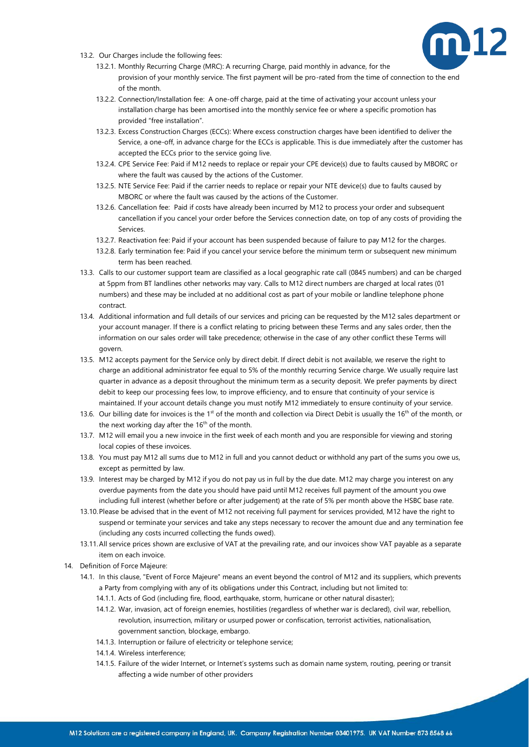

- 13.2. Our Charges include the following fees:
	- 13.2.1. Monthly Recurring Charge (MRC): A recurring Charge, paid monthly in advance, for the provision of your monthly service. The first payment will be pro-rated from the time of connection to the end of the month.
	- 13.2.2. Connection/Installation fee: A one-off charge, paid at the time of activating your account unless your installation charge has been amortised into the monthly service fee or where a specific promotion has provided "free installation".
	- 13.2.3. Excess Construction Charges (ECCs): Where excess construction charges have been identified to deliver the Service, a one-off, in advance charge for the ECCs is applicable. This is due immediately after the customer has accepted the ECCs prior to the service going live.
	- 13.2.4. CPE Service Fee: Paid if M12 needs to replace or repair your CPE device(s) due to faults caused by MBORC or where the fault was caused by the actions of the Customer.
	- 13.2.5. NTE Service Fee: Paid if the carrier needs to replace or repair your NTE device(s) due to faults caused by MBORC or where the fault was caused by the actions of the Customer.
	- 13.2.6. Cancellation fee: Paid if costs have already been incurred by M12 to process your order and subsequent cancellation if you cancel your order before the Services connection date, on top of any costs of providing the Services.
	- 13.2.7. Reactivation fee: Paid if your account has been suspended because of failure to pay M12 for the charges.
	- 13.2.8. Early termination fee: Paid if you cancel your service before the minimum term or subsequent new minimum term has been reached.
- 13.3. Calls to our customer support team are classified as a local geographic rate call (0845 numbers) and can be charged at 5ppm from BT landlines other networks may vary. Calls to M12 direct numbers are charged at local rates (01 numbers) and these may be included at no additional cost as part of your mobile or landline telephone phone contract.
- 13.4. Additional information and full details of our services and pricing can be requested by the M12 sales department or your account manager. If there is a conflict relating to pricing between these Terms and any sales order, then the information on our sales order will take precedence; otherwise in the case of any other conflict these Terms will govern.
- 13.5. M12 accepts payment for the Service only by direct debit. If direct debit is not available, we reserve the right to charge an additional administrator fee equal to 5% of the monthly recurring Service charge. We usually require last quarter in advance as a deposit throughout the minimum term as a security deposit. We prefer payments by direct debit to keep our processing fees low, to improve efficiency, and to ensure that continuity of your service is maintained. If your account details change you must notify M12 immediately to ensure continuity of your service.
- 13.6. Our billing date for invoices is the 1<sup>st</sup> of the month and collection via Direct Debit is usually the 16<sup>th</sup> of the month, or the next working day after the 16<sup>th</sup> of the month.
- 13.7. M12 will email you a new invoice in the first week of each month and you are responsible for viewing and storing local copies of these invoices.
- 13.8. You must pay M12 all sums due to M12 in full and you cannot deduct or withhold any part of the sums you owe us, except as permitted by law.
- 13.9. Interest may be charged by M12 if you do not pay us in full by the due date. M12 may charge you interest on any overdue payments from the date you should have paid until M12 receives full payment of the amount you owe including full interest (whether before or after judgement) at the rate of 5% per month above the HSBC base rate.
- 13.10.Please be advised that in the event of M12 not receiving full payment for services provided, M12 have the right to suspend or terminate your services and take any steps necessary to recover the amount due and any termination fee (including any costs incurred collecting the funds owed).
- 13.11.All service prices shown are exclusive of VAT at the prevailing rate, and our invoices show VAT payable as a separate item on each invoice.
- <span id="page-11-0"></span>14. Definition of Force Majeure:
	- 14.1. In this clause, "Event of Force Majeure" means an event beyond the control of M12 and its suppliers, which prevents a Party from complying with any of its obligations under this Contract, including but not limited to:
		- 14.1.1. Acts of God (including fire, flood, earthquake, storm, hurricane or other natural disaster);
		- 14.1.2. War, invasion, act of foreign enemies, hostilities (regardless of whether war is declared), civil war, rebellion, revolution, insurrection, military or usurped power or confiscation, terrorist activities, nationalisation, government sanction, blockage, embargo.
		- 14.1.3. Interruption or failure of electricity or telephone service;
		- 14.1.4. Wireless interference;
		- 14.1.5. Failure of the wider Internet, or Internet's systems such as domain name system, routing, peering or transit affecting a wide number of other providers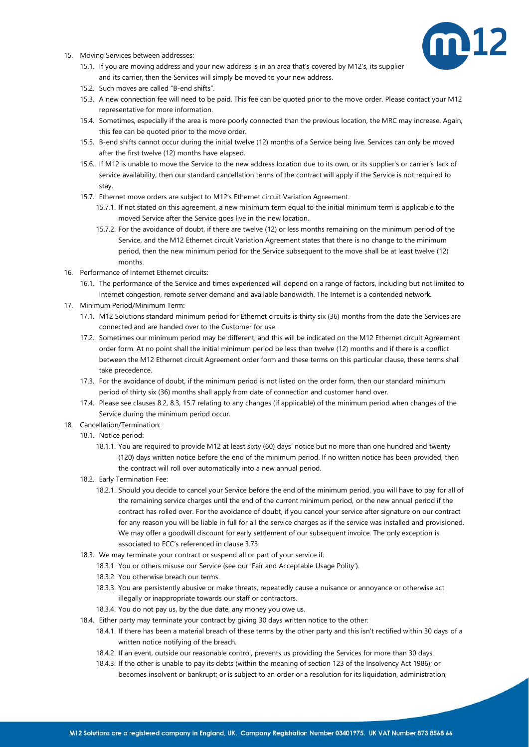

- 15. Moving Services between addresses:
	- 15.1. If you are moving address and your new address is in an area that's covered by M12's, its supplier and its carrier, then the Services will simply be moved to your new address.
	- 15.2. Such moves are called "B-end shifts".
	- 15.3. A new connection fee will need to be paid. This fee can be quoted prior to the move order. Please contact your M12 representative for more information.
	- 15.4. Sometimes, especially if the area is more poorly connected than the previous location, the MRC may increase. Again, this fee can be quoted prior to the move order.
	- 15.5. B-end shifts cannot occur during the initial twelve (12) months of a Service being live. Services can only be moved after the first twelve (12) months have elapsed.
	- 15.6. If M12 is unable to move the Service to the new address location due to its own, or its supplier's or carrier's lack of service availability, then our standard cancellation terms of the contract will apply if the Service is not required to stay.
	- 15.7. Ethernet move orders are subject to M12's Ethernet circuit Variation Agreement.
		- 15.7.1. If not stated on this agreement, a new minimum term equal to the initial minimum term is applicable to the moved Service after the Service goes live in the new location.
		- 15.7.2. For the avoidance of doubt, if there are twelve (12) or less months remaining on the minimum period of the Service, and the M12 Ethernet circuit Variation Agreement states that there is no change to the minimum period, then the new minimum period for the Service subsequent to the move shall be at least twelve (12) months.
- <span id="page-12-0"></span>16. Performance of Internet Ethernet circuits:
	- 16.1. The performance of the Service and times experienced will depend on a range of factors, including but not limited to Internet congestion, remote server demand and available bandwidth. The Internet is a contended network.
- 17. Minimum Period/Minimum Term:
	- 17.1. M12 Solutions standard minimum period for Ethernet circuits is thirty six (36) months from the date the Services are connected and are handed over to the Customer for use.
	- 17.2. Sometimes our minimum period may be different, and this will be indicated on the M12 Ethernet circuit Agreement order form. At no point shall the initial minimum period be less than twelve (12) months and if there is a conflict between the M12 Ethernet circuit Agreement order form and these terms on this particular clause, these terms shall take precedence.
	- 17.3. For the avoidance of doubt, if the minimum period is not listed on the order form, then our standard minimum period of thirty six (36) months shall apply from date of connection and customer hand over.
	- 17.4. Please see clause[s 8.2,](#page-9-2) [8.3,](#page-9-3) [15.7](#page-12-0) relating to any changes (if applicable) of the minimum period when changes of the Service during the minimum period occur.
- 18. Cancellation/Termination:
	- 18.1. Notice period:
		- 18.1.1. You are required to provide M12 at least sixty (60) days' notice but no more than one hundred and twenty (120) days written notice before the end of the minimum period. If no written notice has been provided, then the contract will roll over automatically into a new annual period.
	- 18.2. Early Termination Fee:
		- 18.2.1. Should you decide to cancel your Service before the end of the minimum period, you will have to pay for all of the remaining service charges until the end of the current minimum period, or the new annual period if the contract has rolled over. For the avoidance of doubt, if you cancel your service after signature on our contract for any reason you will be liable in full for all the service charges as if the service was installed and provisioned. We may offer a goodwill discount for early settlement of our subsequent invoice. The only exception is associated to ECC's referenced in clause 3.73
	- 18.3. We may terminate your contract or suspend all or part of your service if:
		- 18.3.1. You or others misuse our Service (see our 'Fair and Acceptable Usage Polity').
		- 18.3.2. You otherwise breach our terms.
		- 18.3.3. You are persistently abusive or make threats, repeatedly cause a nuisance or annoyance or otherwise act illegally or inappropriate towards our staff or contractors.
		- 18.3.4. You do not pay us, by the due date, any money you owe us.
	- 18.4. Either party may terminate your contract by giving 30 days written notice to the other:
		- 18.4.1. If there has been a material breach of these terms by the other party and this isn't rectified within 30 days of a written notice notifying of the breach.
		- 18.4.2. If an event, outside our reasonable control, prevents us providing the Services for more than 30 days.
		- 18.4.3. If the other is unable to pay its debts (within the meaning of section 123 of the Insolvency Act 1986); or becomes insolvent or bankrupt; or is subject to an order or a resolution for its liquidation, administration,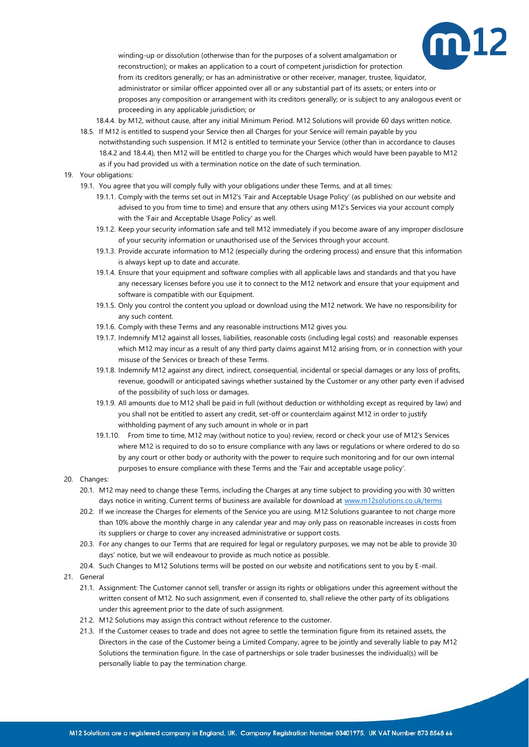

winding-up or dissolution (otherwise than for the purposes of a solvent amalgamation or reconstruction); or makes an application to a court of competent jurisdiction for protection from its creditors generally; or has an administrative or other receiver, manager, trustee, liquidator, administrator or similar officer appointed over all or any substantial part of its assets; or enters into or proposes any composition or arrangement with its creditors generally; or is subject to any analogous event or proceeding in any applicable jurisdiction; or

- 18.4.4. by M12, without cause, after any initial Minimum Period. M12 Solutions will provide 60 days written notice.
- 18.5. If M12 is entitled to suspend your Service then all Charges for your Service will remain payable by you notwithstanding such suspension. If M12 is entitled to terminate your Service (other than in accordance to clauses 18.4.2 and 18.4.4), then M12 will be entitled to charge you for the Charges which would have been payable to M12 as if you had provided us with a termination notice on the date of such termination.
- 19. Your obligations:
	- 19.1. You agree that you will comply fully with your obligations under these Terms, and at all times:
		- 19.1.1. Comply with the terms set out in M12's 'Fair and Acceptable Usage Policy' (as published on our website and advised to you from time to time) and ensure that any others using M12's Services via your account comply with the 'Fair and Acceptable Usage Policy' as well.
		- 19.1.2. Keep your security information safe and tell M12 immediately if you become aware of any improper disclosure of your security information or unauthorised use of the Services through your account.
		- 19.1.3. Provide accurate information to M12 (especially during the ordering process) and ensure that this information is always kept up to date and accurate.
		- 19.1.4. Ensure that your equipment and software complies with all applicable laws and standards and that you have any necessary licenses before you use it to connect to the M12 network and ensure that your equipment and software is compatible with our Equipment.
		- 19.1.5. Only you control the content you upload or download using the M12 network. We have no responsibility for any such content.
		- 19.1.6. Comply with these Terms and any reasonable instructions M12 gives you.
		- 19.1.7. Indemnify M12 against all losses, liabilities, reasonable costs (including legal costs) and reasonable expenses which M12 may incur as a result of any third party claims against M12 arising from, or in connection with your misuse of the Services or breach of these Terms.
		- 19.1.8. Indemnify M12 against any direct, indirect, consequential, incidental or special damages or any loss of profits, revenue, goodwill or anticipated savings whether sustained by the Customer or any other party even if advised of the possibility of such loss or damages.
		- 19.1.9. All amounts due to M12 shall be paid in full (without deduction or withholding except as required by law) and you shall not be entitled to assert any credit, set-off or counterclaim against M12 in order to justify withholding payment of any such amount in whole or in part
		- 19.1.10. From time to time, M12 may (without notice to you) review, record or check your use of M12's Services where M12 is required to do so to ensure compliance with any laws or regulations or where ordered to do so by any court or other body or authority with the power to require such monitoring and for our own internal purposes to ensure compliance with these Terms and the 'Fair and acceptable usage policy'.
- 20. Changes:
	- 20.1. M12 may need to change these Terms, including the Charges at any time subject to providing you with 30 written days notice in writing. Current terms of business are available for download at [www.m12solutions.co.uk/terms](http://www.m12solutions.co.uk/terms)
	- 20.2. If we increase the Charges for elements of the Service you are using. M12 Solutions guarantee to not charge more than 10% above the monthly charge in any calendar year and may only pass on reasonable increases in costs from its suppliers or charge to cover any increased administrative or support costs.
	- 20.3. For any changes to our Terms that are required for legal or regulatory purposes, we may not be able to provide 30 days' notice, but we will endeavour to provide as much notice as possible.
	- 20.4. Such Changes to M12 Solutions terms will be posted on our website and notifications sent to you by E-mail.
- 21. General
	- 21.1. Assignment: The Customer cannot sell, transfer or assign its rights or obligations under this agreement without the written consent of M12. No such assignment, even if consented to, shall relieve the other party of its obligations under this agreement prior to the date of such assignment.
	- 21.2. M12 Solutions may assign this contract without reference to the customer.
	- 21.3. If the Customer ceases to trade and does not agree to settle the termination figure from its retained assets, the Directors in the case of the Customer being a Limited Company, agree to be jointly and severally liable to pay M12 Solutions the termination figure. In the case of partnerships or sole trader businesses the individual(s) will be personally liable to pay the termination charge.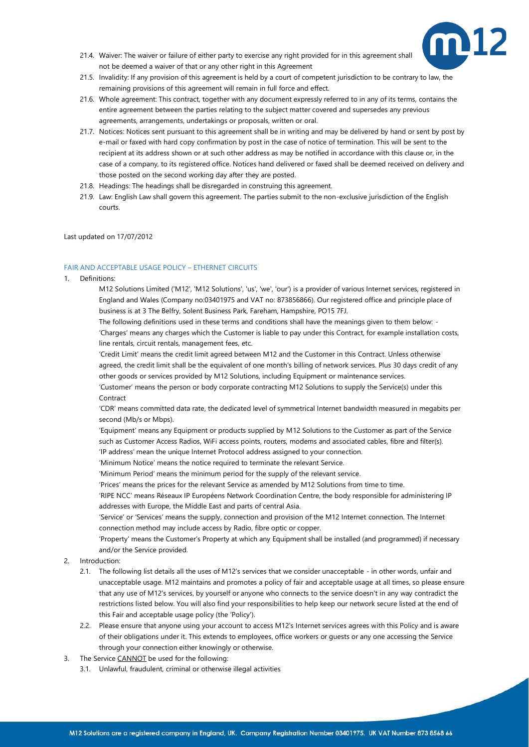

- 21.4. Waiver: The waiver or failure of either party to exercise any right provided for in this agreement shall not be deemed a waiver of that or any other right in this Agreement
- 21.5. Invalidity: If any provision of this agreement is held by a court of competent jurisdiction to be contrary to law, the remaining provisions of this agreement will remain in full force and effect.
- 21.6. Whole agreement: This contract, together with any document expressly referred to in any of its terms, contains the entire agreement between the parties relating to the subject matter covered and supersedes any previous agreements, arrangements, undertakings or proposals, written or oral.
- 21.7. Notices: Notices sent pursuant to this agreement shall be in writing and may be delivered by hand or sent by post by e-mail or faxed with hard copy confirmation by post in the case of notice of termination. This will be sent to the recipient at its address shown or at such other address as may be notified in accordance with this clause or, in the case of a company, to its registered office. Notices hand delivered or faxed shall be deemed received on delivery and those posted on the second working day after they are posted.
- 21.8. Headings: The headings shall be disregarded in construing this agreement.
- 21.9. Law: English Law shall govern this agreement. The parties submit to the non-exclusive jurisdiction of the English courts.

#### <span id="page-14-0"></span>Last updated on 17/07/2012

## FAIR AND ACCEPTABLE USAGE POLICY – ETHERNET CIRCUITS

#### 1. Definitions:

M12 Solutions Limited ('M12', 'M12 Solutions', 'us', 'we', 'our') is a provider of various Internet services, registered in England and Wales (Company no:03401975 and VAT no: 873856866). Our registered office and principle place of business is at 3 The Belfry, Solent Business Park, Fareham, Hampshire, PO15 7FJ.

The following definitions used in these terms and conditions shall have the meanings given to them below: - 'Charges' means any charges which the Customer is liable to pay under this Contract, for example installation costs, line rentals, circuit rentals, management fees, etc.

'Credit Limit' means the credit limit agreed between M12 and the Customer in this Contract. Unless otherwise agreed, the credit limit shall be the equivalent of one month's billing of network services. Plus 30 days credit of any other goods or services provided by M12 Solutions, including Equipment or maintenance services.

'Customer' means the person or body corporate contracting M12 Solutions to supply the Service(s) under this Contract

'CDR' means committed data rate, the dedicated level of symmetrical Internet bandwidth measured in megabits per second (Mb/s or Mbps).

'Equipment' means any Equipment or products supplied by M12 Solutions to the Customer as part of the Service such as Customer Access Radios, WiFi access points, routers, modems and associated cables, fibre and filter(s). 'IP address' mean the unique Internet Protocol address assigned to your connection.

'Minimum Notice' means the notice required to terminate the relevant Service.

'Minimum Period' means the minimum period for the supply of the relevant service.

'Prices' means the prices for the relevant Service as amended by M12 Solutions from time to time.

'RIPE NCC' means Réseaux IP Européens Network Coordination Centre, the body responsible for administering IP addresses with Europe, the Middle East and parts of central Asia.

'Service' or 'Services' means the supply, connection and provision of the M12 Internet connection. The Internet connection method may include access by Radio, fibre optic or copper.

'Property' means the Customer's Property at which any Equipment shall be installed (and programmed) if necessary and/or the Service provided.

## 2. Introduction:

- 2.1. The following list details all the uses of M12's services that we consider unacceptable in other words, unfair and unacceptable usage. M12 maintains and promotes a policy of fair and acceptable usage at all times, so please ensure that any use of M12's services, by yourself or anyone who connects to the service doesn't in any way contradict the restrictions listed below. You will also find your responsibilities to help keep our network secure listed at the end of this Fair and acceptable usage policy (the 'Policy').
- 2.2. Please ensure that anyone using your account to access M12's Internet services agrees with this Policy and is aware of their obligations under it. This extends to employees, office workers or guests or any one accessing the Service through your connection either knowingly or otherwise.
- 3. The Service CANNOT be used for the following:
	- 3.1. Unlawful, fraudulent, criminal or otherwise illegal activities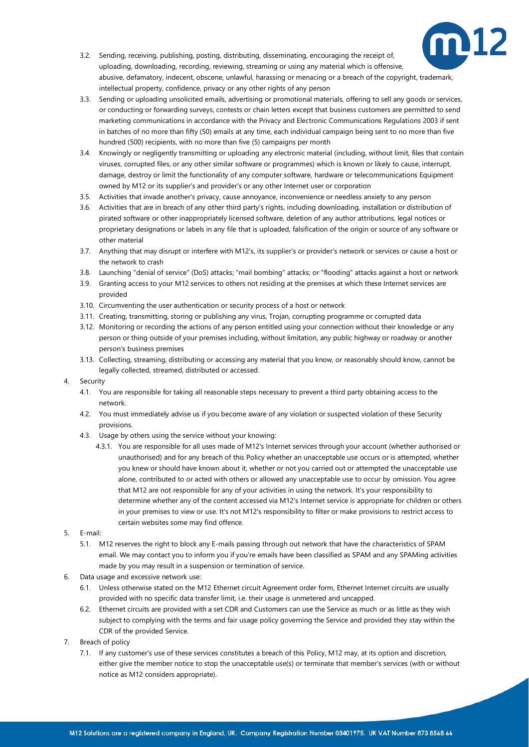

- 3.2. Sending, receiving, publishing, posting, distributing, disseminating, encouraging the receipt of, uploading, downloading, recording, reviewing, streaming or using any material which is offensive, abusive, defamatory, indecent, obscene, unlawful, harassing or menacing or a breach of the copyright, trademark, intellectual property, confidence, privacy or any other rights of any person
- 3.3. Sending or uploading unsolicited emails, advertising or promotional materials, offering to sell any goods or services, or conducting or forwarding surveys, contests or chain letters except that business customers are permitted to send marketing communications in accordance with the Privacy and Electronic Communications Regulations 2003 if sent in batches of no more than fifty (50) emails at any time, each individual campaign being sent to no more than five hundred (500) recipients, with no more than five (5) campaigns per month
- 3.4. Knowingly or negligently transmitting or uploading any electronic material (including, without limit, files that contain viruses, corrupted files, or any other similar software or programmes) which is known or likely to cause, interrupt, damage, destroy or limit the functionality of any computer software, hardware or telecommunications Equipment owned by M12 or its supplier's and provider's or any other Internet user or corporation
- 3.5. Activities that invade another's privacy, cause annoyance, inconvenience or needless anxiety to any person
- 3.6. Activities that are in breach of any other third party's rights, including downloading, installation or distribution of pirated software or other inappropriately licensed software, deletion of any author attributions, legal notices or proprietary designations or labels in any file that is uploaded, falsification of the origin or source of any software or other material
- 3.7. Anything that may disrupt or interfere with M12's, its supplier's or provider's network or services or cause a host or the network to crash
- 3.8. Launching "denial of service" (DoS) attacks; "mail bombing" attacks; or "flooding" attacks against a host or network
- 3.9. Granting access to your M12 services to others not residing at the premises at which these Internet services are provided
- 3.10. Circumventing the user authentication or security process of a host or network
- 3.11. Creating, transmitting, storing or publishing any virus, Trojan, corrupting programme or corrupted data
- 3.12. Monitoring or recording the actions of any person entitled using your connection without their knowledge or any person or thing outside of your premises including, without limitation, any public highway or roadway or another person's business premises
- 3.13. Collecting, streaming, distributing or accessing any material that you know, or reasonably should know, cannot be legally collected, streamed, distributed or accessed.
- 4. Security
	- 4.1. You are responsible for taking all reasonable steps necessary to prevent a third party obtaining access to the network.
	- 4.2. You must immediately advise us if you become aware of any violation or suspected violation of these Security provisions.
	- 4.3. Usage by others using the service without your knowing:
		- 4.3.1. You are responsible for all uses made of M12's Internet services through your account (whether authorised or unauthorised) and for any breach of this Policy whether an unacceptable use occurs or is attempted, whether you knew or should have known about it, whether or not you carried out or attempted the unacceptable use alone, contributed to or acted with others or allowed any unacceptable use to occur by omission. You agree that M12 are not responsible for any of your activities in using the network. It's your responsibility to determine whether any of the content accessed via M12's Internet service is appropriate for children or others in your premises to view or use. It's not M12's responsibility to filter or make provisions to restrict access to certain websites some may find offence.
- 5. E-mail:
	- 5.1. M12 reserves the right to block any E-mails passing through out network that have the characteristics of SPAM email. We may contact you to inform you if you're emails have been classified as SPAM and any SPAMing activities made by you may result in a suspension or termination of service.
- 6. Data usage and excessive network use:
	- 6.1. Unless otherwise stated on the M12 Ethernet circuit Agreement order form, Ethernet Internet circuits are usually provided with no specific data transfer limit, i.e. their usage is unmetered and uncapped.
	- 6.2. Ethernet circuits are provided with a set CDR and Customers can use the Service as much or as little as they wish subject to complying with the terms and fair usage policy governing the Service and provided they stay within the CDR of the provided Service.
- 7. Breach of policy
	- 7.1. If any customer's use of these services constitutes a breach of this Policy, M12 may, at its option and discretion, either give the member notice to stop the unacceptable use(s) or terminate that member's services (with or without notice as M12 considers appropriate).